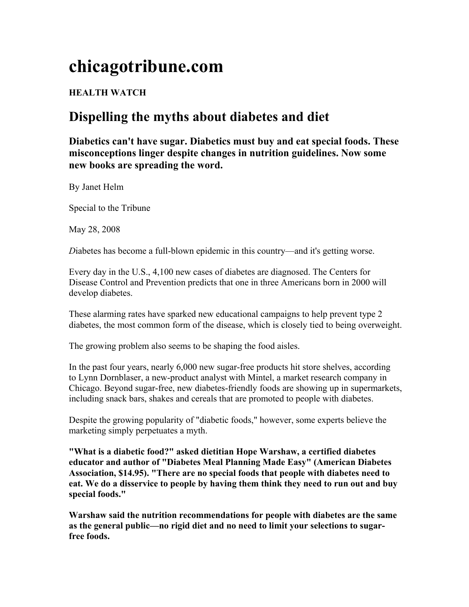## **chicagotribune.com**

## **HEALTH WATCH**

## **Dispelling the myths about diabetes and diet**

**Diabetics can't have sugar. Diabetics must buy and eat special foods. These misconceptions linger despite changes in nutrition guidelines. Now some new books are spreading the word.** 

By Janet Helm

Special to the Tribune

May 28, 2008

*D*iabetes has become a full-blown epidemic in this country—and it's getting worse.

Every day in the U.S., 4,100 new cases of diabetes are diagnosed. The Centers for Disease Control and Prevention predicts that one in three Americans born in 2000 will develop diabetes.

These alarming rates have sparked new educational campaigns to help prevent type 2 diabetes, the most common form of the disease, which is closely tied to being overweight.

The growing problem also seems to be shaping the food aisles.

In the past four years, nearly 6,000 new sugar-free products hit store shelves, according to Lynn Dornblaser, a new-product analyst with Mintel, a market research company in Chicago. Beyond sugar-free, new diabetes-friendly foods are showing up in supermarkets, including snack bars, shakes and cereals that are promoted to people with diabetes.

Despite the growing popularity of "diabetic foods," however, some experts believe the marketing simply perpetuates a myth.

**"What is a diabetic food?" asked dietitian Hope Warshaw, a certified diabetes educator and author of "Diabetes Meal Planning Made Easy" (American Diabetes Association, \$14.95). "There are no special foods that people with diabetes need to eat. We do a disservice to people by having them think they need to run out and buy special foods."** 

**Warshaw said the nutrition recommendations for people with diabetes are the same as the general public—no rigid diet and no need to limit your selections to sugarfree foods.**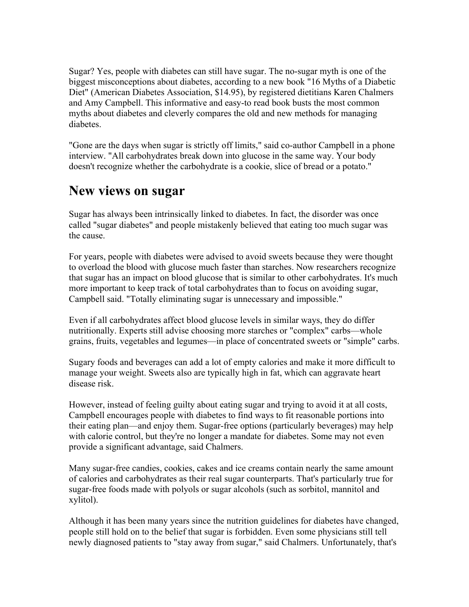Sugar? Yes, people with diabetes can still have sugar. The no-sugar myth is one of the biggest misconceptions about diabetes, according to a new book "16 Myths of a Diabetic Diet" (American Diabetes Association, \$14.95), by registered dietitians Karen Chalmers and Amy Campbell. This informative and easy-to read book busts the most common myths about diabetes and cleverly compares the old and new methods for managing diabetes.

"Gone are the days when sugar is strictly off limits," said co-author Campbell in a phone interview. "All carbohydrates break down into glucose in the same way. Your body doesn't recognize whether the carbohydrate is a cookie, slice of bread or a potato."

## **New views on sugar**

Sugar has always been intrinsically linked to diabetes. In fact, the disorder was once called "sugar diabetes" and people mistakenly believed that eating too much sugar was the cause.

For years, people with diabetes were advised to avoid sweets because they were thought to overload the blood with glucose much faster than starches. Now researchers recognize that sugar has an impact on blood glucose that is similar to other carbohydrates. It's much more important to keep track of total carbohydrates than to focus on avoiding sugar, Campbell said. "Totally eliminating sugar is unnecessary and impossible."

Even if all carbohydrates affect blood glucose levels in similar ways, they do differ nutritionally. Experts still advise choosing more starches or "complex" carbs—whole grains, fruits, vegetables and legumes—in place of concentrated sweets or "simple" carbs.

Sugary foods and beverages can add a lot of empty calories and make it more difficult to manage your weight. Sweets also are typically high in fat, which can aggravate heart disease risk.

However, instead of feeling guilty about eating sugar and trying to avoid it at all costs, Campbell encourages people with diabetes to find ways to fit reasonable portions into their eating plan—and enjoy them. Sugar-free options (particularly beverages) may help with calorie control, but they're no longer a mandate for diabetes. Some may not even provide a significant advantage, said Chalmers.

Many sugar-free candies, cookies, cakes and ice creams contain nearly the same amount of calories and carbohydrates as their real sugar counterparts. That's particularly true for sugar-free foods made with polyols or sugar alcohols (such as sorbitol, mannitol and xylitol).

Although it has been many years since the nutrition guidelines for diabetes have changed, people still hold on to the belief that sugar is forbidden. Even some physicians still tell newly diagnosed patients to "stay away from sugar," said Chalmers. Unfortunately, that's